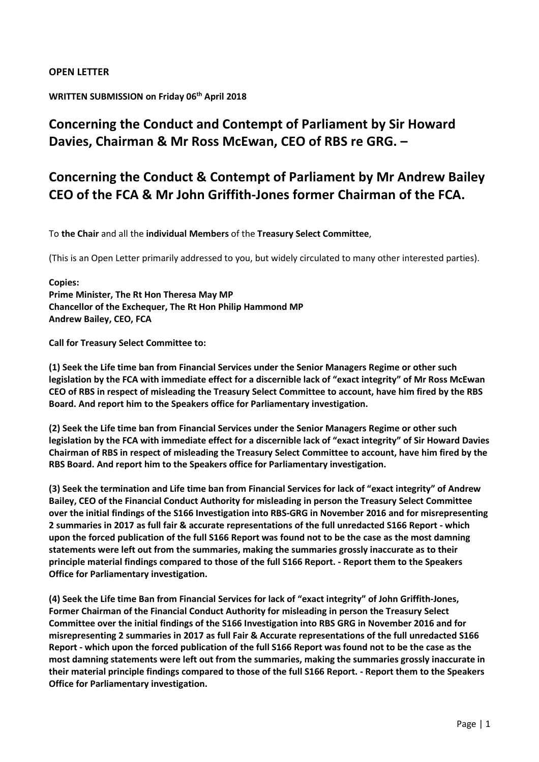#### OPEN LETTER

#### WRITTEN SUBMISSION on Friday 06<sup>th</sup> April 2018

# Concerning the Conduct and Contempt of Parliament by Sir Howard Davies, Chairman & Mr Ross McEwan, CEO of RBS re GRG. –

# Concerning the Conduct & Contempt of Parliament by Mr Andrew Bailey CEO of the FCA & Mr John Griffith-Jones former Chairman of the FCA.

To the Chair and all the individual Members of the Treasury Select Committee,

(This is an Open Letter primarily addressed to you, but widely circulated to many other interested parties).

#### Copies: Prime Minister, The Rt Hon Theresa May MP Chancellor of the Exchequer, The Rt Hon Philip Hammond MP Andrew Bailey, CEO, FCA

Call for Treasury Select Committee to:

(1) Seek the Life time ban from Financial Services under the Senior Managers Regime or other such legislation by the FCA with immediate effect for a discernible lack of "exact integrity" of Mr Ross McEwan CEO of RBS in respect of misleading the Treasury Select Committee to account, have him fired by the RBS Board. And report him to the Speakers office for Parliamentary investigation.

(2) Seek the Life time ban from Financial Services under the Senior Managers Regime or other such legislation by the FCA with immediate effect for a discernible lack of "exact integrity" of Sir Howard Davies Chairman of RBS in respect of misleading the Treasury Select Committee to account, have him fired by the RBS Board. And report him to the Speakers office for Parliamentary investigation.

(3) Seek the termination and Life time ban from Financial Services for lack of "exact integrity" of Andrew Bailey, CEO of the Financial Conduct Authority for misleading in person the Treasury Select Committee over the initial findings of the S166 Investigation into RBS-GRG in November 2016 and for misrepresenting 2 summaries in 2017 as full fair & accurate representations of the full unredacted S166 Report - which upon the forced publication of the full S166 Report was found not to be the case as the most damning statements were left out from the summaries, making the summaries grossly inaccurate as to their principle material findings compared to those of the full S166 Report. - Report them to the Speakers Office for Parliamentary investigation.

(4) Seek the Life time Ban from Financial Services for lack of "exact integrity" of John Griffith-Jones, Former Chairman of the Financial Conduct Authority for misleading in person the Treasury Select Committee over the initial findings of the S166 Investigation into RBS GRG in November 2016 and for misrepresenting 2 summaries in 2017 as full Fair & Accurate representations of the full unredacted S166 Report - which upon the forced publication of the full S166 Report was found not to be the case as the most damning statements were left out from the summaries, making the summaries grossly inaccurate in their material principle findings compared to those of the full S166 Report. - Report them to the Speakers Office for Parliamentary investigation.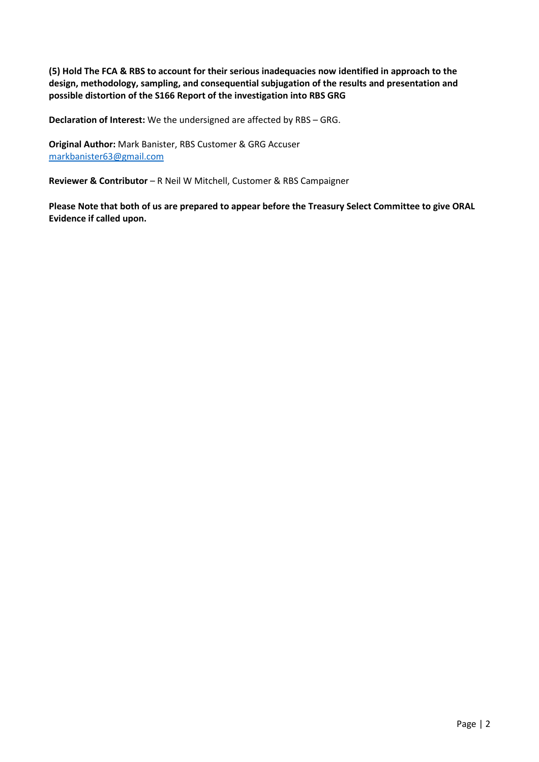(5) Hold The FCA & RBS to account for their serious inadequacies now identified in approach to the design, methodology, sampling, and consequential subjugation of the results and presentation and possible distortion of the S166 Report of the investigation into RBS GRG

Declaration of Interest: We the undersigned are affected by RBS – GRG.

Original Author: Mark Banister, RBS Customer & GRG Accuser markbanister63@gmail.com

Reviewer & Contributor – R Neil W Mitchell, Customer & RBS Campaigner

Please Note that both of us are prepared to appear before the Treasury Select Committee to give ORAL Evidence if called upon.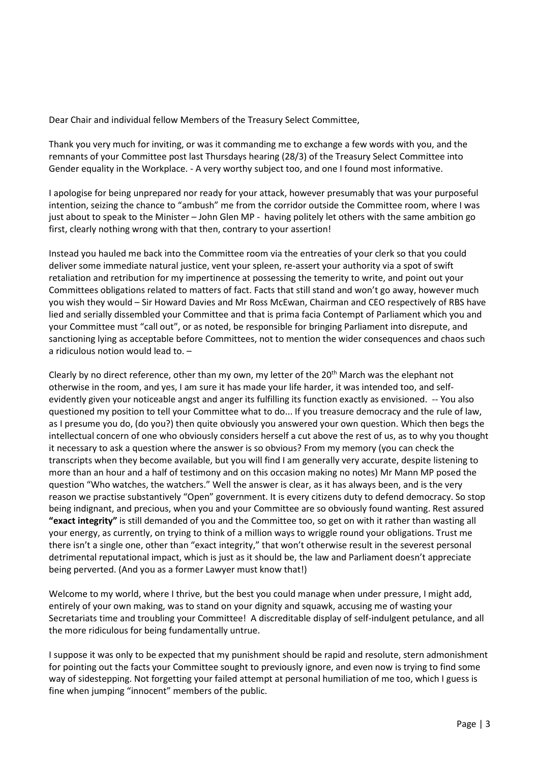Dear Chair and individual fellow Members of the Treasury Select Committee,

Thank you very much for inviting, or was it commanding me to exchange a few words with you, and the remnants of your Committee post last Thursdays hearing (28/3) of the Treasury Select Committee into Gender equality in the Workplace. - A very worthy subject too, and one I found most informative.

I apologise for being unprepared nor ready for your attack, however presumably that was your purposeful intention, seizing the chance to "ambush" me from the corridor outside the Committee room, where I was just about to speak to the Minister – John Glen MP - having politely let others with the same ambition go first, clearly nothing wrong with that then, contrary to your assertion!

Instead you hauled me back into the Committee room via the entreaties of your clerk so that you could deliver some immediate natural justice, vent your spleen, re-assert your authority via a spot of swift retaliation and retribution for my impertinence at possessing the temerity to write, and point out your Committees obligations related to matters of fact. Facts that still stand and won't go away, however much you wish they would – Sir Howard Davies and Mr Ross McEwan, Chairman and CEO respectively of RBS have lied and serially dissembled your Committee and that is prima facia Contempt of Parliament which you and your Committee must "call out", or as noted, be responsible for bringing Parliament into disrepute, and sanctioning lying as acceptable before Committees, not to mention the wider consequences and chaos such a ridiculous notion would lead to. –

Clearly by no direct reference, other than my own, my letter of the 20<sup>th</sup> March was the elephant not otherwise in the room, and yes, I am sure it has made your life harder, it was intended too, and selfevidently given your noticeable angst and anger its fulfilling its function exactly as envisioned. -- You also questioned my position to tell your Committee what to do... If you treasure democracy and the rule of law, as I presume you do, (do you?) then quite obviously you answered your own question. Which then begs the intellectual concern of one who obviously considers herself a cut above the rest of us, as to why you thought it necessary to ask a question where the answer is so obvious? From my memory (you can check the transcripts when they become available, but you will find I am generally very accurate, despite listening to more than an hour and a half of testimony and on this occasion making no notes) Mr Mann MP posed the question "Who watches, the watchers." Well the answer is clear, as it has always been, and is the very reason we practise substantively "Open" government. It is every citizens duty to defend democracy. So stop being indignant, and precious, when you and your Committee are so obviously found wanting. Rest assured "exact integrity" is still demanded of you and the Committee too, so get on with it rather than wasting all your energy, as currently, on trying to think of a million ways to wriggle round your obligations. Trust me there isn't a single one, other than "exact integrity," that won't otherwise result in the severest personal detrimental reputational impact, which is just as it should be, the law and Parliament doesn't appreciate being perverted. (And you as a former Lawyer must know that!)

Welcome to my world, where I thrive, but the best you could manage when under pressure, I might add, entirely of your own making, was to stand on your dignity and squawk, accusing me of wasting your Secretariats time and troubling your Committee! A discreditable display of self-indulgent petulance, and all the more ridiculous for being fundamentally untrue.

I suppose it was only to be expected that my punishment should be rapid and resolute, stern admonishment for pointing out the facts your Committee sought to previously ignore, and even now is trying to find some way of sidestepping. Not forgetting your failed attempt at personal humiliation of me too, which I guess is fine when jumping "innocent" members of the public.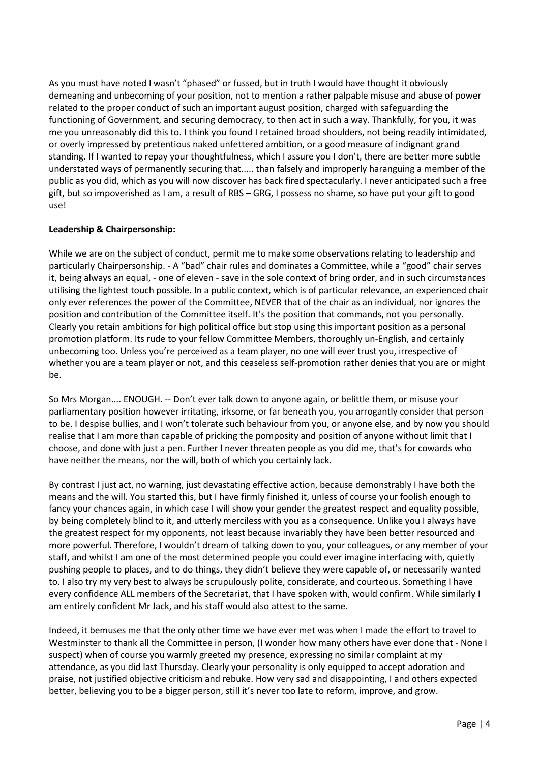As you must have noted I wasn't "phased" or fussed, but in truth I would have thought it obviously demeaning and unbecoming of your position, not to mention a rather palpable misuse and abuse of power related to the proper conduct of such an important august position, charged with safeguarding the functioning of Government, and securing democracy, to then act in such a way. Thankfully, for you, it was me you unreasonably did this to. I think you found I retained broad shoulders, not being readily intimidated, or overly impressed by pretentious naked unfettered ambition, or a good measure of indignant grand standing. If I wanted to repay your thoughtfulness, which I assure you I don't, there are better more subtle understated ways of permanently securing that..... than falsely and improperly haranguing a member of the public as you did, which as you will now discover has back fired spectacularly. I never anticipated such a free gift, but so impoverished as I am, a result of RBS – GRG, I possess no shame, so have put your gift to good use!

#### Leadership & Chairpersonship:

While we are on the subject of conduct, permit me to make some observations relating to leadership and particularly Chairpersonship. - A "bad" chair rules and dominates a Committee, while a "good" chair serves it, being always an equal, - one of eleven - save in the sole context of bring order, and in such circumstances utilising the lightest touch possible. In a public context, which is of particular relevance, an experienced chair only ever references the power of the Committee, NEVER that of the chair as an individual, nor ignores the position and contribution of the Committee itself. It's the position that commands, not you personally. Clearly you retain ambitions for high political office but stop using this important position as a personal promotion platform. Its rude to your fellow Committee Members, thoroughly un-English, and certainly unbecoming too. Unless you're perceived as a team player, no one will ever trust you, irrespective of whether you are a team player or not, and this ceaseless self-promotion rather denies that you are or might be.

So Mrs Morgan.... ENOUGH. -- Don't ever talk down to anyone again, or belittle them, or misuse your parliamentary position however irritating, irksome, or far beneath you, you arrogantly consider that person to be. I despise bullies, and I won't tolerate such behaviour from you, or anyone else, and by now you should realise that I am more than capable of pricking the pomposity and position of anyone without limit that I choose, and done with just a pen. Further I never threaten people as you did me, that's for cowards who have neither the means, nor the will, both of which you certainly lack.

By contrast I just act, no warning, just devastating effective action, because demonstrably I have both the means and the will. You started this, but I have firmly finished it, unless of course your foolish enough to fancy your chances again, in which case I will show your gender the greatest respect and equality possible, by being completely blind to it, and utterly merciless with you as a consequence. Unlike you I always have the greatest respect for my opponents, not least because invariably they have been better resourced and more powerful. Therefore, I wouldn't dream of talking down to you, your colleagues, or any member of your staff, and whilst I am one of the most determined people you could ever imagine interfacing with, quietly pushing people to places, and to do things, they didn't believe they were capable of, or necessarily wanted to. I also try my very best to always be scrupulously polite, considerate, and courteous. Something I have every confidence ALL members of the Secretariat, that I have spoken with, would confirm. While similarly I am entirely confident Mr Jack, and his staff would also attest to the same.

Indeed, it bemuses me that the only other time we have ever met was when I made the effort to travel to Westminster to thank all the Committee in person, (I wonder how many others have ever done that - None I suspect) when of course you warmly greeted my presence, expressing no similar complaint at my attendance, as you did last Thursday. Clearly your personality is only equipped to accept adoration and praise, not justified objective criticism and rebuke. How very sad and disappointing, I and others expected better, believing you to be a bigger person, still it's never too late to reform, improve, and grow.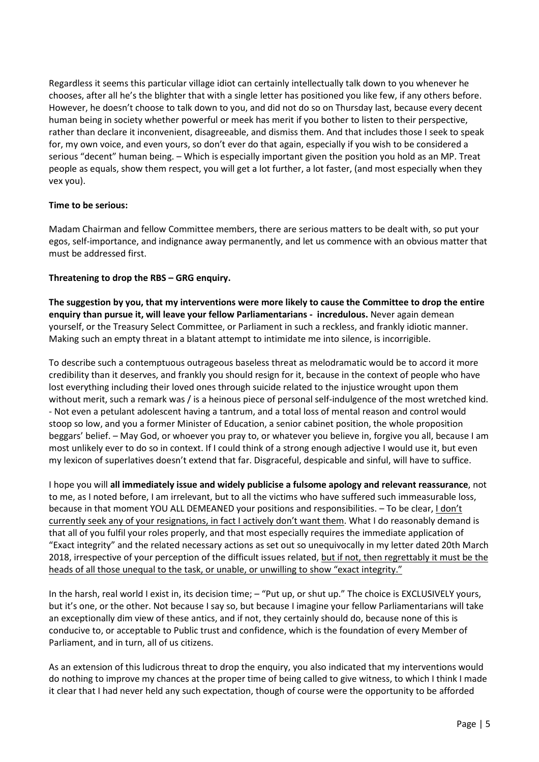Regardless it seems this particular village idiot can certainly intellectually talk down to you whenever he chooses, after all he's the blighter that with a single letter has positioned you like few, if any others before. However, he doesn't choose to talk down to you, and did not do so on Thursday last, because every decent human being in society whether powerful or meek has merit if you bother to listen to their perspective, rather than declare it inconvenient, disagreeable, and dismiss them. And that includes those I seek to speak for, my own voice, and even yours, so don't ever do that again, especially if you wish to be considered a serious "decent" human being. – Which is especially important given the position you hold as an MP. Treat people as equals, show them respect, you will get a lot further, a lot faster, (and most especially when they vex you).

#### Time to be serious:

Madam Chairman and fellow Committee members, there are serious matters to be dealt with, so put your egos, self-importance, and indignance away permanently, and let us commence with an obvious matter that must be addressed first.

#### Threatening to drop the RBS – GRG enquiry.

The suggestion by you, that my interventions were more likely to cause the Committee to drop the entire enquiry than pursue it, will leave your fellow Parliamentarians - incredulous. Never again demean yourself, or the Treasury Select Committee, or Parliament in such a reckless, and frankly idiotic manner. Making such an empty threat in a blatant attempt to intimidate me into silence, is incorrigible.

To describe such a contemptuous outrageous baseless threat as melodramatic would be to accord it more credibility than it deserves, and frankly you should resign for it, because in the context of people who have lost everything including their loved ones through suicide related to the injustice wrought upon them without merit, such a remark was / is a heinous piece of personal self-indulgence of the most wretched kind. - Not even a petulant adolescent having a tantrum, and a total loss of mental reason and control would stoop so low, and you a former Minister of Education, a senior cabinet position, the whole proposition beggars' belief. – May God, or whoever you pray to, or whatever you believe in, forgive you all, because I am most unlikely ever to do so in context. If I could think of a strong enough adjective I would use it, but even my lexicon of superlatives doesn't extend that far. Disgraceful, despicable and sinful, will have to suffice.

I hope you will all immediately issue and widely publicise a fulsome apology and relevant reassurance, not to me, as I noted before, I am irrelevant, but to all the victims who have suffered such immeasurable loss, because in that moment YOU ALL DEMEANED your positions and responsibilities. - To be clear, I don't currently seek any of your resignations, in fact I actively don't want them. What I do reasonably demand is that all of you fulfil your roles properly, and that most especially requires the immediate application of "Exact integrity" and the related necessary actions as set out so unequivocally in my letter dated 20th March 2018, irrespective of your perception of the difficult issues related, but if not, then regrettably it must be the heads of all those unequal to the task, or unable, or unwilling to show "exact integrity."

In the harsh, real world I exist in, its decision time; – "Put up, or shut up." The choice is EXCLUSIVELY yours, but it's one, or the other. Not because I say so, but because I imagine your fellow Parliamentarians will take an exceptionally dim view of these antics, and if not, they certainly should do, because none of this is conducive to, or acceptable to Public trust and confidence, which is the foundation of every Member of Parliament, and in turn, all of us citizens.

As an extension of this ludicrous threat to drop the enquiry, you also indicated that my interventions would do nothing to improve my chances at the proper time of being called to give witness, to which I think I made it clear that I had never held any such expectation, though of course were the opportunity to be afforded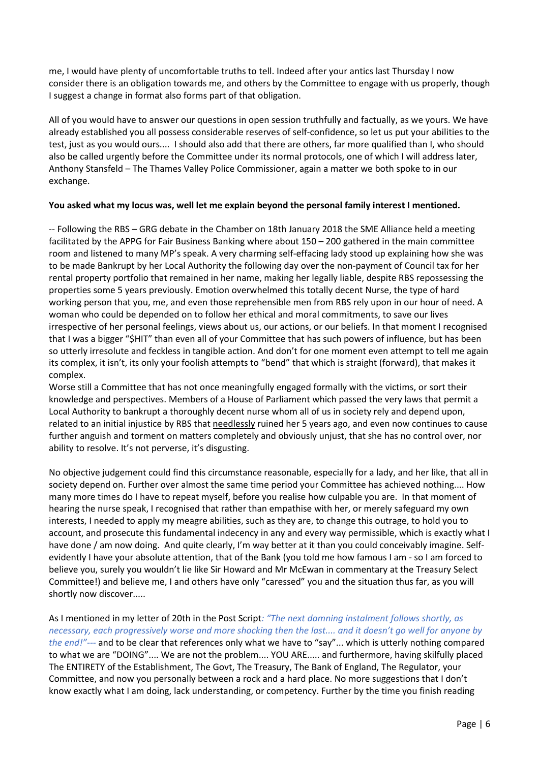me, I would have plenty of uncomfortable truths to tell. Indeed after your antics last Thursday I now consider there is an obligation towards me, and others by the Committee to engage with us properly, though I suggest a change in format also forms part of that obligation.

All of you would have to answer our questions in open session truthfully and factually, as we yours. We have already established you all possess considerable reserves of self-confidence, so let us put your abilities to the test, just as you would ours.... I should also add that there are others, far more qualified than I, who should also be called urgently before the Committee under its normal protocols, one of which I will address later, Anthony Stansfeld – The Thames Valley Police Commissioner, again a matter we both spoke to in our exchange.

#### You asked what my locus was, well let me explain beyond the personal family interest I mentioned.

-- Following the RBS – GRG debate in the Chamber on 18th January 2018 the SME Alliance held a meeting facilitated by the APPG for Fair Business Banking where about 150 – 200 gathered in the main committee room and listened to many MP's speak. A very charming self-effacing lady stood up explaining how she was to be made Bankrupt by her Local Authority the following day over the non-payment of Council tax for her rental property portfolio that remained in her name, making her legally liable, despite RBS repossessing the properties some 5 years previously. Emotion overwhelmed this totally decent Nurse, the type of hard working person that you, me, and even those reprehensible men from RBS rely upon in our hour of need. A woman who could be depended on to follow her ethical and moral commitments, to save our lives irrespective of her personal feelings, views about us, our actions, or our beliefs. In that moment I recognised that I was a bigger "\$HIT" than even all of your Committee that has such powers of influence, but has been so utterly irresolute and feckless in tangible action. And don't for one moment even attempt to tell me again its complex, it isn't, its only your foolish attempts to "bend" that which is straight (forward), that makes it complex.

Worse still a Committee that has not once meaningfully engaged formally with the victims, or sort their knowledge and perspectives. Members of a House of Parliament which passed the very laws that permit a Local Authority to bankrupt a thoroughly decent nurse whom all of us in society rely and depend upon, related to an initial injustice by RBS that needlessly ruined her 5 years ago, and even now continues to cause further anguish and torment on matters completely and obviously unjust, that she has no control over, nor ability to resolve. It's not perverse, it's disgusting.

No objective judgement could find this circumstance reasonable, especially for a lady, and her like, that all in society depend on. Further over almost the same time period your Committee has achieved nothing.... How many more times do I have to repeat myself, before you realise how culpable you are. In that moment of hearing the nurse speak, I recognised that rather than empathise with her, or merely safeguard my own interests, I needed to apply my meagre abilities, such as they are, to change this outrage, to hold you to account, and prosecute this fundamental indecency in any and every way permissible, which is exactly what I have done / am now doing. And quite clearly, I'm way better at it than you could conceivably imagine. Selfevidently I have your absolute attention, that of the Bank (you told me how famous I am - so I am forced to believe you, surely you wouldn't lie like Sir Howard and Mr McEwan in commentary at the Treasury Select Committee!) and believe me, I and others have only "caressed" you and the situation thus far, as you will shortly now discover.....

As I mentioned in my letter of 20th in the Post Script: "The next damning instalment follows shortly, as necessary, each progressively worse and more shocking then the last.... and it doesn't go well for anyone by the end!"--- and to be clear that references only what we have to "say"... which is utterly nothing compared to what we are "DOING".... We are not the problem.... YOU ARE..... and furthermore, having skilfully placed The ENTIRETY of the Establishment, The Govt, The Treasury, The Bank of England, The Regulator, your Committee, and now you personally between a rock and a hard place. No more suggestions that I don't know exactly what I am doing, lack understanding, or competency. Further by the time you finish reading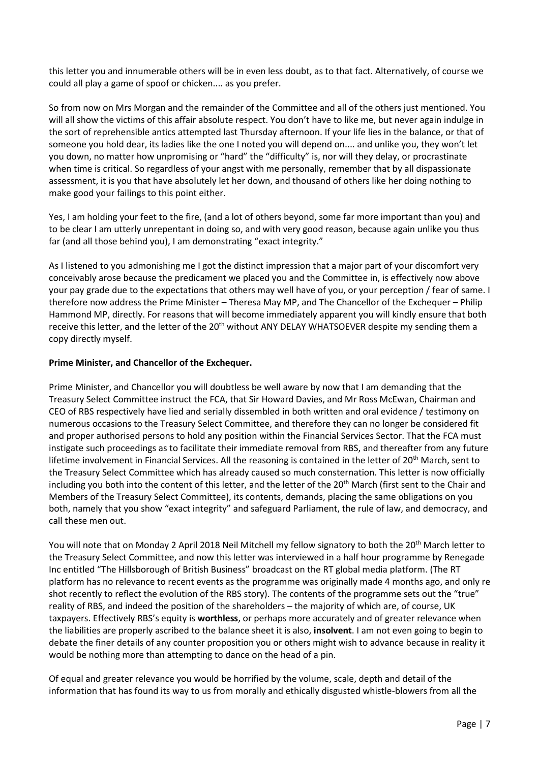this letter you and innumerable others will be in even less doubt, as to that fact. Alternatively, of course we could all play a game of spoof or chicken.... as you prefer.

So from now on Mrs Morgan and the remainder of the Committee and all of the others just mentioned. You will all show the victims of this affair absolute respect. You don't have to like me, but never again indulge in the sort of reprehensible antics attempted last Thursday afternoon. If your life lies in the balance, or that of someone you hold dear, its ladies like the one I noted you will depend on.... and unlike you, they won't let you down, no matter how unpromising or "hard" the "difficulty" is, nor will they delay, or procrastinate when time is critical. So regardless of your angst with me personally, remember that by all dispassionate assessment, it is you that have absolutely let her down, and thousand of others like her doing nothing to make good your failings to this point either.

Yes, I am holding your feet to the fire, (and a lot of others beyond, some far more important than you) and to be clear I am utterly unrepentant in doing so, and with very good reason, because again unlike you thus far (and all those behind you), I am demonstrating "exact integrity."

As I listened to you admonishing me I got the distinct impression that a major part of your discomfort very conceivably arose because the predicament we placed you and the Committee in, is effectively now above your pay grade due to the expectations that others may well have of you, or your perception / fear of same. I therefore now address the Prime Minister – Theresa May MP, and The Chancellor of the Exchequer – Philip Hammond MP, directly. For reasons that will become immediately apparent you will kindly ensure that both receive this letter, and the letter of the 20<sup>th</sup> without ANY DELAY WHATSOEVER despite my sending them a copy directly myself.

#### Prime Minister, and Chancellor of the Exchequer.

Prime Minister, and Chancellor you will doubtless be well aware by now that I am demanding that the Treasury Select Committee instruct the FCA, that Sir Howard Davies, and Mr Ross McEwan, Chairman and CEO of RBS respectively have lied and serially dissembled in both written and oral evidence / testimony on numerous occasions to the Treasury Select Committee, and therefore they can no longer be considered fit and proper authorised persons to hold any position within the Financial Services Sector. That the FCA must instigate such proceedings as to facilitate their immediate removal from RBS, and thereafter from any future lifetime involvement in Financial Services. All the reasoning is contained in the letter of 20<sup>th</sup> March, sent to the Treasury Select Committee which has already caused so much consternation. This letter is now officially including you both into the content of this letter, and the letter of the  $20<sup>th</sup>$  March (first sent to the Chair and Members of the Treasury Select Committee), its contents, demands, placing the same obligations on you both, namely that you show "exact integrity" and safeguard Parliament, the rule of law, and democracy, and call these men out.

You will note that on Monday 2 April 2018 Neil Mitchell my fellow signatory to both the 20<sup>th</sup> March letter to the Treasury Select Committee, and now this letter was interviewed in a half hour programme by Renegade Inc entitled "The Hillsborough of British Business" broadcast on the RT global media platform. (The RT platform has no relevance to recent events as the programme was originally made 4 months ago, and only re shot recently to reflect the evolution of the RBS story). The contents of the programme sets out the "true" reality of RBS, and indeed the position of the shareholders – the majority of which are, of course, UK taxpayers. Effectively RBS's equity is worthless, or perhaps more accurately and of greater relevance when the liabilities are properly ascribed to the balance sheet it is also, insolvent. I am not even going to begin to debate the finer details of any counter proposition you or others might wish to advance because in reality it would be nothing more than attempting to dance on the head of a pin.

Of equal and greater relevance you would be horrified by the volume, scale, depth and detail of the information that has found its way to us from morally and ethically disgusted whistle-blowers from all the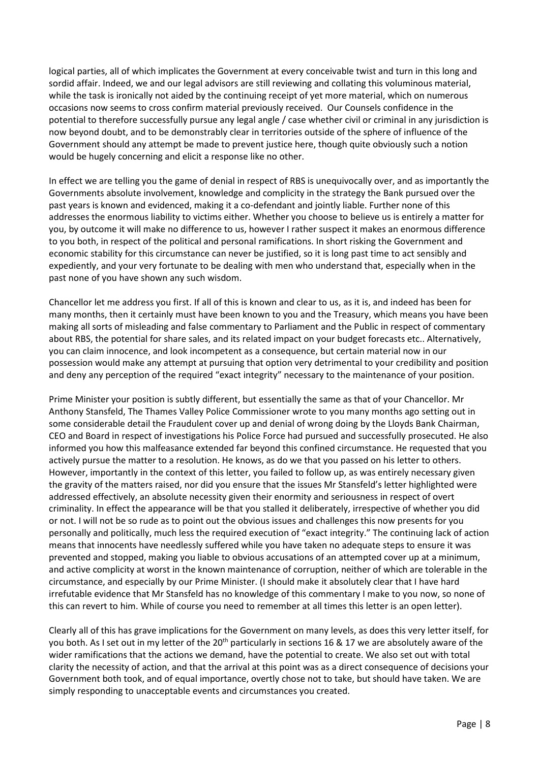logical parties, all of which implicates the Government at every conceivable twist and turn in this long and sordid affair. Indeed, we and our legal advisors are still reviewing and collating this voluminous material, while the task is ironically not aided by the continuing receipt of yet more material, which on numerous occasions now seems to cross confirm material previously received. Our Counsels confidence in the potential to therefore successfully pursue any legal angle / case whether civil or criminal in any jurisdiction is now beyond doubt, and to be demonstrably clear in territories outside of the sphere of influence of the Government should any attempt be made to prevent justice here, though quite obviously such a notion would be hugely concerning and elicit a response like no other.

In effect we are telling you the game of denial in respect of RBS is unequivocally over, and as importantly the Governments absolute involvement, knowledge and complicity in the strategy the Bank pursued over the past years is known and evidenced, making it a co-defendant and jointly liable. Further none of this addresses the enormous liability to victims either. Whether you choose to believe us is entirely a matter for you, by outcome it will make no difference to us, however I rather suspect it makes an enormous difference to you both, in respect of the political and personal ramifications. In short risking the Government and economic stability for this circumstance can never be justified, so it is long past time to act sensibly and expediently, and your very fortunate to be dealing with men who understand that, especially when in the past none of you have shown any such wisdom.

Chancellor let me address you first. If all of this is known and clear to us, as it is, and indeed has been for many months, then it certainly must have been known to you and the Treasury, which means you have been making all sorts of misleading and false commentary to Parliament and the Public in respect of commentary about RBS, the potential for share sales, and its related impact on your budget forecasts etc.. Alternatively, you can claim innocence, and look incompetent as a consequence, but certain material now in our possession would make any attempt at pursuing that option very detrimental to your credibility and position and deny any perception of the required "exact integrity" necessary to the maintenance of your position.

Prime Minister your position is subtly different, but essentially the same as that of your Chancellor. Mr Anthony Stansfeld, The Thames Valley Police Commissioner wrote to you many months ago setting out in some considerable detail the Fraudulent cover up and denial of wrong doing by the Lloyds Bank Chairman, CEO and Board in respect of investigations his Police Force had pursued and successfully prosecuted. He also informed you how this malfeasance extended far beyond this confined circumstance. He requested that you actively pursue the matter to a resolution. He knows, as do we that you passed on his letter to others. However, importantly in the context of this letter, you failed to follow up, as was entirely necessary given the gravity of the matters raised, nor did you ensure that the issues Mr Stansfeld's letter highlighted were addressed effectively, an absolute necessity given their enormity and seriousness in respect of overt criminality. In effect the appearance will be that you stalled it deliberately, irrespective of whether you did or not. I will not be so rude as to point out the obvious issues and challenges this now presents for you personally and politically, much less the required execution of "exact integrity." The continuing lack of action means that innocents have needlessly suffered while you have taken no adequate steps to ensure it was prevented and stopped, making you liable to obvious accusations of an attempted cover up at a minimum, and active complicity at worst in the known maintenance of corruption, neither of which are tolerable in the circumstance, and especially by our Prime Minister. (I should make it absolutely clear that I have hard irrefutable evidence that Mr Stansfeld has no knowledge of this commentary I make to you now, so none of this can revert to him. While of course you need to remember at all times this letter is an open letter).

Clearly all of this has grave implications for the Government on many levels, as does this very letter itself, for you both. As I set out in my letter of the 20<sup>th</sup> particularly in sections 16 & 17 we are absolutely aware of the wider ramifications that the actions we demand, have the potential to create. We also set out with total clarity the necessity of action, and that the arrival at this point was as a direct consequence of decisions your Government both took, and of equal importance, overtly chose not to take, but should have taken. We are simply responding to unacceptable events and circumstances you created.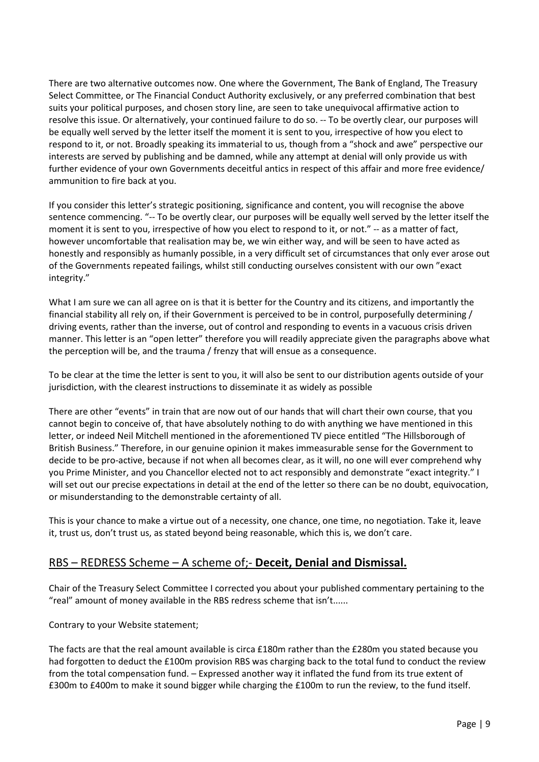There are two alternative outcomes now. One where the Government, The Bank of England, The Treasury Select Committee, or The Financial Conduct Authority exclusively, or any preferred combination that best suits your political purposes, and chosen story line, are seen to take unequivocal affirmative action to resolve this issue. Or alternatively, your continued failure to do so. -- To be overtly clear, our purposes will be equally well served by the letter itself the moment it is sent to you, irrespective of how you elect to respond to it, or not. Broadly speaking its immaterial to us, though from a "shock and awe" perspective our interests are served by publishing and be damned, while any attempt at denial will only provide us with further evidence of your own Governments deceitful antics in respect of this affair and more free evidence/ ammunition to fire back at you.

If you consider this letter's strategic positioning, significance and content, you will recognise the above sentence commencing. "-- To be overtly clear, our purposes will be equally well served by the letter itself the moment it is sent to you, irrespective of how you elect to respond to it, or not." -- as a matter of fact, however uncomfortable that realisation may be, we win either way, and will be seen to have acted as honestly and responsibly as humanly possible, in a very difficult set of circumstances that only ever arose out of the Governments repeated failings, whilst still conducting ourselves consistent with our own "exact integrity."

What I am sure we can all agree on is that it is better for the Country and its citizens, and importantly the financial stability all rely on, if their Government is perceived to be in control, purposefully determining / driving events, rather than the inverse, out of control and responding to events in a vacuous crisis driven manner. This letter is an "open letter" therefore you will readily appreciate given the paragraphs above what the perception will be, and the trauma / frenzy that will ensue as a consequence.

To be clear at the time the letter is sent to you, it will also be sent to our distribution agents outside of your jurisdiction, with the clearest instructions to disseminate it as widely as possible

There are other "events" in train that are now out of our hands that will chart their own course, that you cannot begin to conceive of, that have absolutely nothing to do with anything we have mentioned in this letter, or indeed Neil Mitchell mentioned in the aforementioned TV piece entitled "The Hillsborough of British Business." Therefore, in our genuine opinion it makes immeasurable sense for the Government to decide to be pro-active, because if not when all becomes clear, as it will, no one will ever comprehend why you Prime Minister, and you Chancellor elected not to act responsibly and demonstrate "exact integrity." I will set out our precise expectations in detail at the end of the letter so there can be no doubt, equivocation, or misunderstanding to the demonstrable certainty of all.

This is your chance to make a virtue out of a necessity, one chance, one time, no negotiation. Take it, leave it, trust us, don't trust us, as stated beyond being reasonable, which this is, we don't care.

## RBS – REDRESS Scheme – A scheme of;- Deceit, Denial and Dismissal.

Chair of the Treasury Select Committee I corrected you about your published commentary pertaining to the "real" amount of money available in the RBS redress scheme that isn't......

Contrary to your Website statement;

The facts are that the real amount available is circa £180m rather than the £280m you stated because you had forgotten to deduct the £100m provision RBS was charging back to the total fund to conduct the review from the total compensation fund. – Expressed another way it inflated the fund from its true extent of £300m to £400m to make it sound bigger while charging the £100m to run the review, to the fund itself.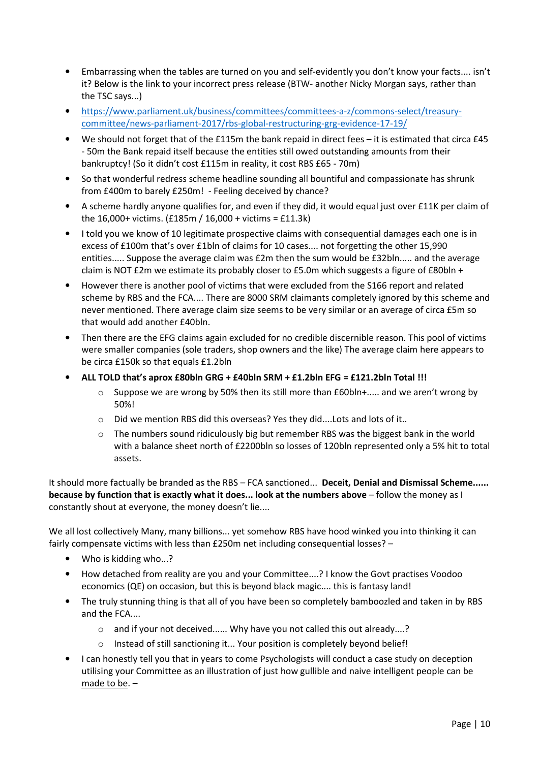- Embarrassing when the tables are turned on you and self-evidently you don't know your facts.... isn't it? Below is the link to your incorrect press release (BTW- another Nicky Morgan says, rather than the TSC says...)
- https://www.parliament.uk/business/committees/committees-a-z/commons-select/treasurycommittee/news-parliament-2017/rbs-global-restructuring-grg-evidence-17-19/
- We should not forget that of the £115m the bank repaid in direct fees it is estimated that circa £45 - 50m the Bank repaid itself because the entities still owed outstanding amounts from their bankruptcy! (So it didn't cost £115m in reality, it cost RBS £65 - 70m)
- So that wonderful redress scheme headline sounding all bountiful and compassionate has shrunk from £400m to barely £250m! - Feeling deceived by chance?
- A scheme hardly anyone qualifies for, and even if they did, it would equal just over £11K per claim of the 16,000+ victims. (£185m / 16,000 + victims = £11.3k)
- I told you we know of 10 legitimate prospective claims with consequential damages each one is in excess of £100m that's over £1bln of claims for 10 cases.... not forgetting the other 15,990 entities..... Suppose the average claim was £2m then the sum would be £32bln..... and the average claim is NOT  $£2m$  we estimate its probably closer to  $£5.0m$  which suggests a figure of  $£80bh +$
- However there is another pool of victims that were excluded from the S166 report and related scheme by RBS and the FCA.... There are 8000 SRM claimants completely ignored by this scheme and never mentioned. There average claim size seems to be very similar or an average of circa £5m so that would add another £40bln.
- Then there are the EFG claims again excluded for no credible discernible reason. This pool of victims were smaller companies (sole traders, shop owners and the like) The average claim here appears to be circa £150k so that equals £1.2bln
- ALL TOLD that's aprox £80bln GRG + £40bln SRM + £1.2bln EFG = £121.2bln Total !!!
	- $\circ$  Suppose we are wrong by 50% then its still more than £60bln+..... and we aren't wrong by 50%!
	- o Did we mention RBS did this overseas? Yes they did....Lots and lots of it..
	- $\circ$  The numbers sound ridiculously big but remember RBS was the biggest bank in the world with a balance sheet north of £2200bln so losses of 120bln represented only a 5% hit to total assets.

It should more factually be branded as the RBS - FCA sanctioned... Deceit, Denial and Dismissal Scheme...... because by function that is exactly what it does... look at the numbers above – follow the money as I constantly shout at everyone, the money doesn't lie....

We all lost collectively Many, many billions... yet somehow RBS have hood winked you into thinking it can fairly compensate victims with less than £250m net including consequential losses? –

- Who is kidding who...?
- How detached from reality are you and your Committee....? I know the Govt practises Voodoo economics (QE) on occasion, but this is beyond black magic.... this is fantasy land!
- The truly stunning thing is that all of you have been so completely bamboozled and taken in by RBS and the FCA....
	- o and if your not deceived...... Why have you not called this out already....?
	- o Instead of still sanctioning it... Your position is completely beyond belief!
- I can honestly tell you that in years to come Psychologists will conduct a case study on deception utilising your Committee as an illustration of just how gullible and naive intelligent people can be made to be. –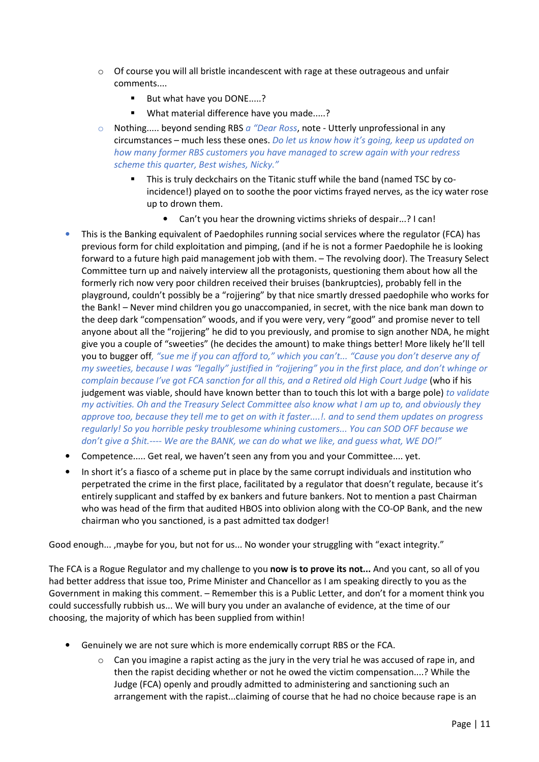- $\circ$  Of course you will all bristle incandescent with rage at these outrageous and unfair comments....
	- But what have you DONE.....?
	- What material difference have you made.....?
- o Nothing..... beyond sending RBS a "Dear Ross, note Utterly unprofessional in any circumstances – much less these ones. Do let us know how it's going, keep us updated on how many former RBS customers you have managed to screw again with your redress scheme this quarter, Best wishes, Nicky."
	- This is truly deckchairs on the Titanic stuff while the band (named TSC by coincidence!) played on to soothe the poor victims frayed nerves, as the icy water rose up to drown them.
		- Can't you hear the drowning victims shrieks of despair...? I can!
- This is the Banking equivalent of Paedophiles running social services where the regulator (FCA) has previous form for child exploitation and pimping, (and if he is not a former Paedophile he is looking forward to a future high paid management job with them. – The revolving door). The Treasury Select Committee turn up and naively interview all the protagonists, questioning them about how all the formerly rich now very poor children received their bruises (bankruptcies), probably fell in the playground, couldn't possibly be a "rojjering" by that nice smartly dressed paedophile who works for the Bank! – Never mind children you go unaccompanied, in secret, with the nice bank man down to the deep dark "compensation" woods, and if you were very, very "good" and promise never to tell anyone about all the "rojjering" he did to you previously, and promise to sign another NDA, he might give you a couple of "sweeties" (he decides the amount) to make things better! More likely he'll tell you to bugger off, "sue me if you can afford to," which you can't... "Cause you don't deserve any of my sweeties, because I was "legally" justified in "rojjering" you in the first place, and don't whinge or complain because I've got FCA sanction for all this, and a Retired old High Court Judge (who if his judgement was viable, should have known better than to touch this lot with a barge pole) to validate my activities. Oh and the Treasury Select Committee also know what I am up to, and obviously they approve too, because they tell me to get on with it faster....!. and to send them updates on progress regularly! So you horrible pesky troublesome whining customers... You can SOD OFF because we don't give a \$hit.---- We are the BANK, we can do what we like, and guess what, WE DO!"
- Competence..... Get real, we haven't seen any from you and your Committee.... yet.
- In short it's a fiasco of a scheme put in place by the same corrupt individuals and institution who perpetrated the crime in the first place, facilitated by a regulator that doesn't regulate, because it's entirely supplicant and staffed by ex bankers and future bankers. Not to mention a past Chairman who was head of the firm that audited HBOS into oblivion along with the CO-OP Bank, and the new chairman who you sanctioned, is a past admitted tax dodger!

Good enough... ,maybe for you, but not for us... No wonder your struggling with "exact integrity."

The FCA is a Rogue Regulator and my challenge to you now is to prove its not... And you cant, so all of you had better address that issue too, Prime Minister and Chancellor as I am speaking directly to you as the Government in making this comment. – Remember this is a Public Letter, and don't for a moment think you could successfully rubbish us... We will bury you under an avalanche of evidence, at the time of our choosing, the majority of which has been supplied from within!

- Genuinely we are not sure which is more endemically corrupt RBS or the FCA.
	- $\circ$  Can you imagine a rapist acting as the jury in the very trial he was accused of rape in, and then the rapist deciding whether or not he owed the victim compensation....? While the Judge (FCA) openly and proudly admitted to administering and sanctioning such an arrangement with the rapist...claiming of course that he had no choice because rape is an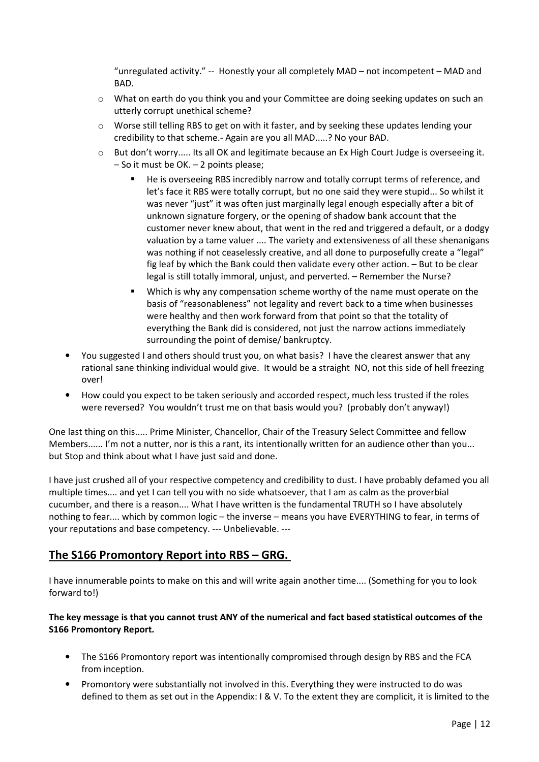"unregulated activity." -- Honestly your all completely MAD – not incompetent – MAD and BAD.

- $\circ$  What on earth do you think you and your Committee are doing seeking updates on such an utterly corrupt unethical scheme?
- $\circ$  Worse still telling RBS to get on with it faster, and by seeking these updates lending your credibility to that scheme.- Again are you all MAD.....? No your BAD.
- $\circ$  But don't worry..... Its all OK and legitimate because an Ex High Court Judge is overseeing it. – So it must be OK. – 2 points please;
	- He is overseeing RBS incredibly narrow and totally corrupt terms of reference, and let's face it RBS were totally corrupt, but no one said they were stupid... So whilst it was never "just" it was often just marginally legal enough especially after a bit of unknown signature forgery, or the opening of shadow bank account that the customer never knew about, that went in the red and triggered a default, or a dodgy valuation by a tame valuer .... The variety and extensiveness of all these shenanigans was nothing if not ceaselessly creative, and all done to purposefully create a "legal" fig leaf by which the Bank could then validate every other action. – But to be clear legal is still totally immoral, unjust, and perverted. – Remember the Nurse?
	- Which is why any compensation scheme worthy of the name must operate on the basis of "reasonableness" not legality and revert back to a time when businesses were healthy and then work forward from that point so that the totality of everything the Bank did is considered, not just the narrow actions immediately surrounding the point of demise/ bankruptcy.
- You suggested I and others should trust you, on what basis? I have the clearest answer that any rational sane thinking individual would give. It would be a straight NO, not this side of hell freezing over!
- How could you expect to be taken seriously and accorded respect, much less trusted if the roles were reversed? You wouldn't trust me on that basis would you? (probably don't anyway!)

One last thing on this..... Prime Minister, Chancellor, Chair of the Treasury Select Committee and fellow Members...... I'm not a nutter, nor is this a rant, its intentionally written for an audience other than you... but Stop and think about what I have just said and done.

I have just crushed all of your respective competency and credibility to dust. I have probably defamed you all multiple times.... and yet I can tell you with no side whatsoever, that I am as calm as the proverbial cucumber, and there is a reason.... What I have written is the fundamental TRUTH so I have absolutely nothing to fear.... which by common logic – the inverse – means you have EVERYTHING to fear, in terms of your reputations and base competency. --- Unbelievable. ---

## The S166 Promontory Report into RBS – GRG.

I have innumerable points to make on this and will write again another time.... (Something for you to look forward to!)

#### The key message is that you cannot trust ANY of the numerical and fact based statistical outcomes of the S166 Promontory Report.

- The S166 Promontory report was intentionally compromised through design by RBS and the FCA from inception.
- Promontory were substantially not involved in this. Everything they were instructed to do was defined to them as set out in the Appendix: I & V. To the extent they are complicit, it is limited to the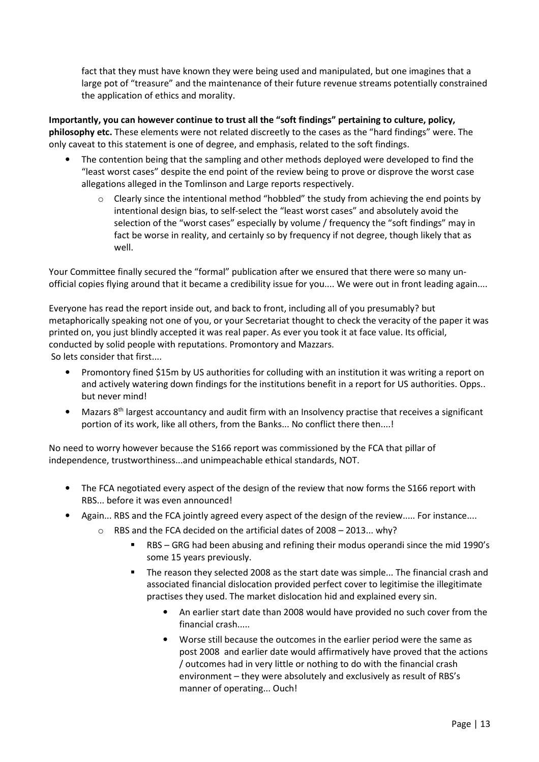fact that they must have known they were being used and manipulated, but one imagines that a large pot of "treasure" and the maintenance of their future revenue streams potentially constrained the application of ethics and morality.

Importantly, you can however continue to trust all the "soft findings" pertaining to culture, policy, philosophy etc. These elements were not related discreetly to the cases as the "hard findings" were. The only caveat to this statement is one of degree, and emphasis, related to the soft findings.

- The contention being that the sampling and other methods deployed were developed to find the "least worst cases" despite the end point of the review being to prove or disprove the worst case allegations alleged in the Tomlinson and Large reports respectively.
	- $\circ$  Clearly since the intentional method "hobbled" the study from achieving the end points by intentional design bias, to self-select the "least worst cases" and absolutely avoid the selection of the "worst cases" especially by volume / frequency the "soft findings" may in fact be worse in reality, and certainly so by frequency if not degree, though likely that as well.

Your Committee finally secured the "formal" publication after we ensured that there were so many unofficial copies flying around that it became a credibility issue for you.... We were out in front leading again....

Everyone has read the report inside out, and back to front, including all of you presumably? but metaphorically speaking not one of you, or your Secretariat thought to check the veracity of the paper it was printed on, you just blindly accepted it was real paper. As ever you took it at face value. Its official, conducted by solid people with reputations. Promontory and Mazzars. So lets consider that first....

• Promontory fined \$15m by US authorities for colluding with an institution it was writing a report on and actively watering down findings for the institutions benefit in a report for US authorities. Opps.. but never mind!

• Mazars 8<sup>th</sup> largest accountancy and audit firm with an Insolvency practise that receives a significant portion of its work, like all others, from the Banks... No conflict there then....!

No need to worry however because the S166 report was commissioned by the FCA that pillar of independence, trustworthiness...and unimpeachable ethical standards, NOT.

- The FCA negotiated every aspect of the design of the review that now forms the S166 report with RBS... before it was even announced!
- Again... RBS and the FCA jointly agreed every aspect of the design of the review..... For instance....
	- o RBS and the FCA decided on the artificial dates of 2008 2013... why?
		- RBS GRG had been abusing and refining their modus operandi since the mid 1990's some 15 years previously.
		- The reason they selected 2008 as the start date was simple... The financial crash and associated financial dislocation provided perfect cover to legitimise the illegitimate practises they used. The market dislocation hid and explained every sin.
			- An earlier start date than 2008 would have provided no such cover from the financial crash.....
			- Worse still because the outcomes in the earlier period were the same as post 2008 and earlier date would affirmatively have proved that the actions / outcomes had in very little or nothing to do with the financial crash environment – they were absolutely and exclusively as result of RBS's manner of operating... Ouch!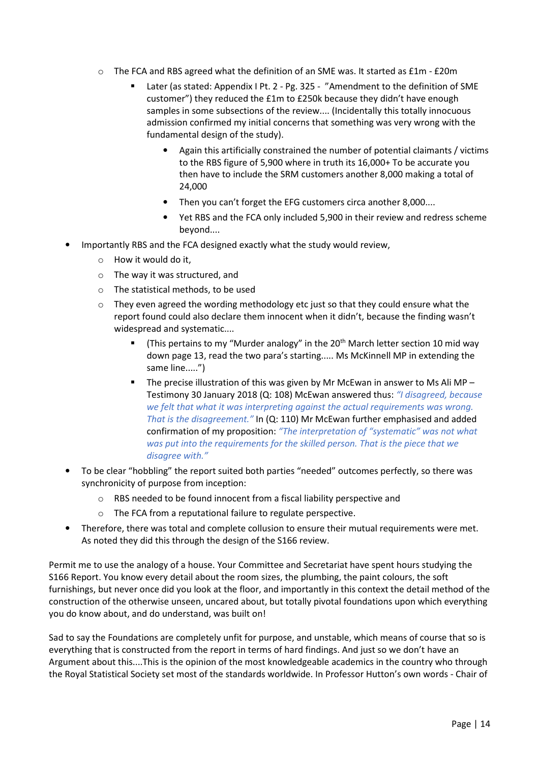- o The FCA and RBS agreed what the definition of an SME was. It started as £1m £20m
	- Later (as stated: Appendix I Pt. 2 Pg. 325 "Amendment to the definition of SME customer") they reduced the £1m to £250k because they didn't have enough samples in some subsections of the review.... (Incidentally this totally innocuous admission confirmed my initial concerns that something was very wrong with the fundamental design of the study).
		- Again this artificially constrained the number of potential claimants / victims to the RBS figure of 5,900 where in truth its 16,000+ To be accurate you then have to include the SRM customers another 8,000 making a total of 24,000
		- Then you can't forget the EFG customers circa another 8,000....
		- Yet RBS and the FCA only included 5,900 in their review and redress scheme beyond....
- Importantly RBS and the FCA designed exactly what the study would review,
	- o How it would do it,
	- o The way it was structured, and
	- o The statistical methods, to be used
	- $\circ$  They even agreed the wording methodology etc just so that they could ensure what the report found could also declare them innocent when it didn't, because the finding wasn't widespread and systematic....
		- (This pertains to my "Murder analogy" in the 20<sup>th</sup> March letter section 10 mid way down page 13, read the two para's starting..... Ms McKinnell MP in extending the same line.....")
		- The precise illustration of this was given by Mr McEwan in answer to Ms Ali MP Testimony 30 January 2018 (Q: 108) McEwan answered thus: "I disagreed, because we felt that what it was interpreting against the actual requirements was wrong. That is the disagreement." In (Q: 110) Mr McEwan further emphasised and added confirmation of my proposition: "The interpretation of "systematic" was not what was put into the requirements for the skilled person. That is the piece that we disagree with."
- To be clear "hobbling" the report suited both parties "needed" outcomes perfectly, so there was synchronicity of purpose from inception:
	- o RBS needed to be found innocent from a fiscal liability perspective and
	- o The FCA from a reputational failure to regulate perspective.
- Therefore, there was total and complete collusion to ensure their mutual requirements were met. As noted they did this through the design of the S166 review.

Permit me to use the analogy of a house. Your Committee and Secretariat have spent hours studying the S166 Report. You know every detail about the room sizes, the plumbing, the paint colours, the soft furnishings, but never once did you look at the floor, and importantly in this context the detail method of the construction of the otherwise unseen, uncared about, but totally pivotal foundations upon which everything you do know about, and do understand, was built on!

Sad to say the Foundations are completely unfit for purpose, and unstable, which means of course that so is everything that is constructed from the report in terms of hard findings. And just so we don't have an Argument about this....This is the opinion of the most knowledgeable academics in the country who through the Royal Statistical Society set most of the standards worldwide. In Professor Hutton's own words - Chair of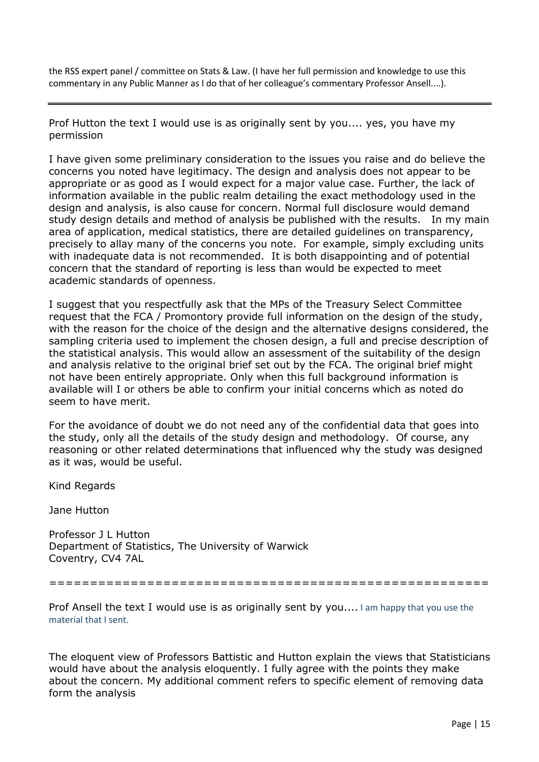the RSS expert panel / committee on Stats & Law. (I have her full permission and knowledge to use this commentary in any Public Manner as I do that of her colleague's commentary Professor Ansell....).

Prof Hutton the text I would use is as originally sent by you.... yes, you have my permission

I have given some preliminary consideration to the issues you raise and do believe the concerns you noted have legitimacy. The design and analysis does not appear to be appropriate or as good as I would expect for a major value case. Further, the lack of information available in the public realm detailing the exact methodology used in the design and analysis, is also cause for concern. Normal full disclosure would demand study design details and method of analysis be published with the results. In my main area of application, medical statistics, there are detailed guidelines on transparency, precisely to allay many of the concerns you note. For example, simply excluding units with inadequate data is not recommended. It is both disappointing and of potential concern that the standard of reporting is less than would be expected to meet academic standards of openness.

I suggest that you respectfully ask that the MPs of the Treasury Select Committee request that the FCA / Promontory provide full information on the design of the study, with the reason for the choice of the design and the alternative designs considered, the sampling criteria used to implement the chosen design, a full and precise description of the statistical analysis. This would allow an assessment of the suitability of the design and analysis relative to the original brief set out by the FCA. The original brief might not have been entirely appropriate. Only when this full background information is available will I or others be able to confirm your initial concerns which as noted do seem to have merit.

For the avoidance of doubt we do not need any of the confidential data that goes into the study, only all the details of the study design and methodology. Of course, any reasoning or other related determinations that influenced why the study was designed as it was, would be useful.

Kind Regards

Jane Hutton

Professor J L Hutton Department of Statistics, The University of Warwick Coventry, CV4 7AL

======================================================

Prof Ansell the text I would use is as originally sent by you.... I am happy that you use the material that I sent.

The eloquent view of Professors Battistic and Hutton explain the views that Statisticians would have about the analysis eloquently. I fully agree with the points they make about the concern. My additional comment refers to specific element of removing data form the analysis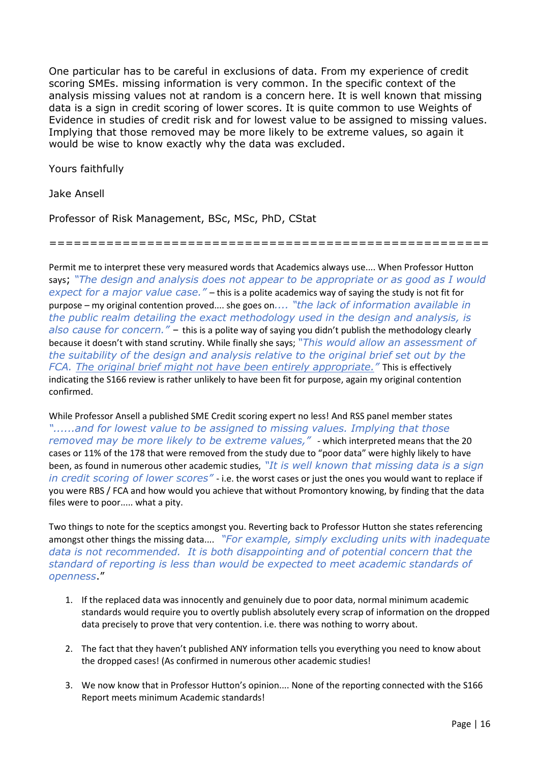One particular has to be careful in exclusions of data. From my experience of credit scoring SMEs. missing information is very common. In the specific context of the analysis missing values not at random is a concern here. It is well known that missing data is a sign in credit scoring of lower scores. It is quite common to use Weights of Evidence in studies of credit risk and for lowest value to be assigned to missing values. Implying that those removed may be more likely to be extreme values, so again it would be wise to know exactly why the data was excluded.

Yours faithfully

Jake Ansell

Professor of Risk Management, BSc, MSc, PhD, CStat

======================================================

Permit me to interpret these very measured words that Academics always use.... When Professor Hutton says; "The design and analysis does not appear to be appropriate or as good as I would expect for a major value case." – this is a polite academics way of saying the study is not fit for purpose – my original contention proved.... she goes on.... "the lack of information available in the public realm detailing the exact methodology used in the design and analysis, is also cause for concern." - this is a polite way of saying you didn't publish the methodology clearly because it doesn't with stand scrutiny. While finally she says; "This would allow an assessment of the suitability of the design and analysis relative to the original brief set out by the FCA. The original brief might not have been entirely appropriate." This is effectively indicating the S166 review is rather unlikely to have been fit for purpose, again my original contention confirmed.

While Professor Ansell a published SME Credit scoring expert no less! And RSS panel member states "......and for lowest value to be assigned to missing values. Implying that those removed may be more likely to be extreme values," - which interpreted means that the 20 cases or 11% of the 178 that were removed from the study due to "poor data" were highly likely to have been, as found in numerous other academic studies, "It is well known that missing data is a sign in credit scoring of lower scores" - i.e. the worst cases or just the ones you would want to replace if you were RBS / FCA and how would you achieve that without Promontory knowing, by finding that the data files were to poor..... what a pity.

Two things to note for the sceptics amongst you. Reverting back to Professor Hutton she states referencing amongst other things the missing data.... "For example, simply excluding units with inadequate data is not recommended. It is both disappointing and of potential concern that the standard of reporting is less than would be expected to meet academic standards of openness."

- 1. If the replaced data was innocently and genuinely due to poor data, normal minimum academic standards would require you to overtly publish absolutely every scrap of information on the dropped data precisely to prove that very contention. i.e. there was nothing to worry about.
- 2. The fact that they haven't published ANY information tells you everything you need to know about the dropped cases! (As confirmed in numerous other academic studies!
- 3. We now know that in Professor Hutton's opinion.... None of the reporting connected with the S166 Report meets minimum Academic standards!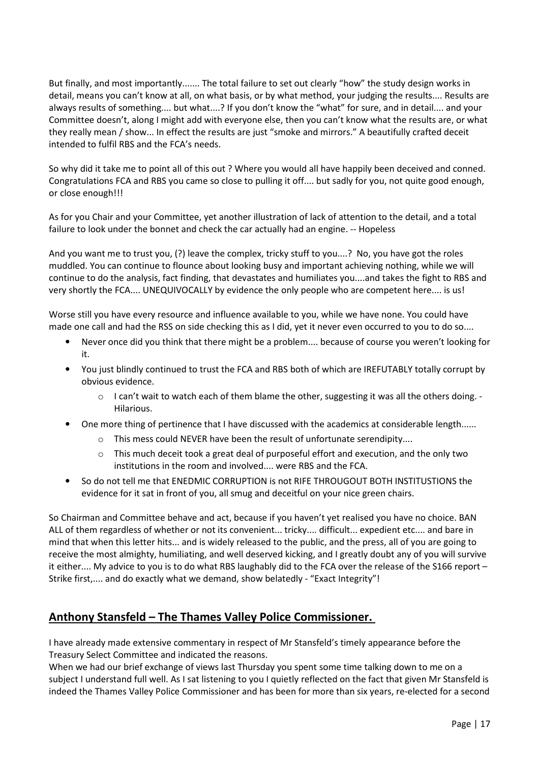But finally, and most importantly....... The total failure to set out clearly "how" the study design works in detail, means you can't know at all, on what basis, or by what method, your judging the results.... Results are always results of something.... but what....? If you don't know the "what" for sure, and in detail.... and your Committee doesn't, along I might add with everyone else, then you can't know what the results are, or what they really mean / show... In effect the results are just "smoke and mirrors." A beautifully crafted deceit intended to fulfil RBS and the FCA's needs.

So why did it take me to point all of this out ? Where you would all have happily been deceived and conned. Congratulations FCA and RBS you came so close to pulling it off.... but sadly for you, not quite good enough, or close enough!!!

As for you Chair and your Committee, yet another illustration of lack of attention to the detail, and a total failure to look under the bonnet and check the car actually had an engine. -- Hopeless

And you want me to trust you, (?) leave the complex, tricky stuff to you....? No, you have got the roles muddled. You can continue to flounce about looking busy and important achieving nothing, while we will continue to do the analysis, fact finding, that devastates and humiliates you....and takes the fight to RBS and very shortly the FCA.... UNEQUIVOCALLY by evidence the only people who are competent here.... is us!

Worse still you have every resource and influence available to you, while we have none. You could have made one call and had the RSS on side checking this as I did, yet it never even occurred to you to do so....

- Never once did you think that there might be a problem.... because of course you weren't looking for it.
- You just blindly continued to trust the FCA and RBS both of which are IREFUTABLY totally corrupt by obvious evidence.
	- $\circ$  I can't wait to watch each of them blame the other, suggesting it was all the others doing. -Hilarious.
- One more thing of pertinence that I have discussed with the academics at considerable length......
	- o This mess could NEVER have been the result of unfortunate serendipity....
	- $\circ$  This much deceit took a great deal of purposeful effort and execution, and the only two institutions in the room and involved.... were RBS and the FCA.
- So do not tell me that ENEDMIC CORRUPTION is not RIFE THROUGOUT BOTH INSTITUSTIONS the evidence for it sat in front of you, all smug and deceitful on your nice green chairs.

So Chairman and Committee behave and act, because if you haven't yet realised you have no choice. BAN ALL of them regardless of whether or not its convenient... tricky.... difficult... expedient etc.... and bare in mind that when this letter hits... and is widely released to the public, and the press, all of you are going to receive the most almighty, humiliating, and well deserved kicking, and I greatly doubt any of you will survive it either.... My advice to you is to do what RBS laughably did to the FCA over the release of the S166 report – Strike first,.... and do exactly what we demand, show belatedly - "Exact Integrity"!

## Anthony Stansfeld – The Thames Valley Police Commissioner.

I have already made extensive commentary in respect of Mr Stansfeld's timely appearance before the Treasury Select Committee and indicated the reasons.

When we had our brief exchange of views last Thursday you spent some time talking down to me on a subject I understand full well. As I sat listening to you I quietly reflected on the fact that given Mr Stansfeld is indeed the Thames Valley Police Commissioner and has been for more than six years, re-elected for a second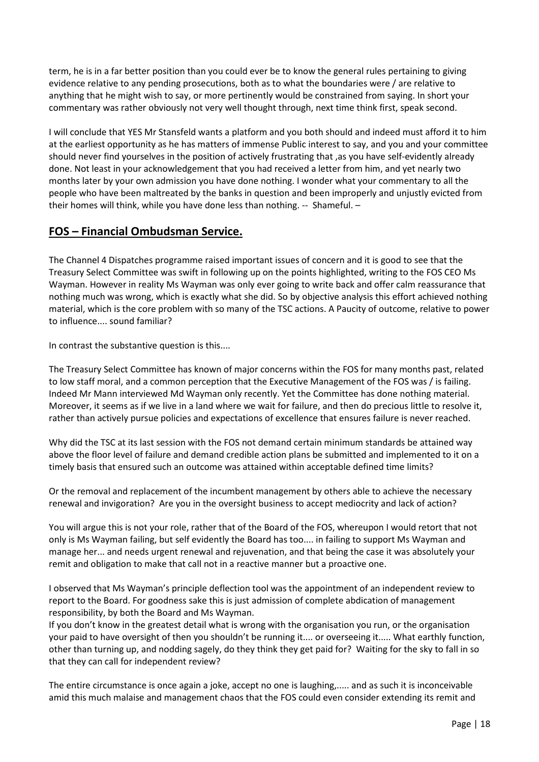term, he is in a far better position than you could ever be to know the general rules pertaining to giving evidence relative to any pending prosecutions, both as to what the boundaries were / are relative to anything that he might wish to say, or more pertinently would be constrained from saying. In short your commentary was rather obviously not very well thought through, next time think first, speak second.

I will conclude that YES Mr Stansfeld wants a platform and you both should and indeed must afford it to him at the earliest opportunity as he has matters of immense Public interest to say, and you and your committee should never find yourselves in the position of actively frustrating that ,as you have self-evidently already done. Not least in your acknowledgement that you had received a letter from him, and yet nearly two months later by your own admission you have done nothing. I wonder what your commentary to all the people who have been maltreated by the banks in question and been improperly and unjustly evicted from their homes will think, while you have done less than nothing. -- Shameful. –

### FOS – Financial Ombudsman Service.

The Channel 4 Dispatches programme raised important issues of concern and it is good to see that the Treasury Select Committee was swift in following up on the points highlighted, writing to the FOS CEO Ms Wayman. However in reality Ms Wayman was only ever going to write back and offer calm reassurance that nothing much was wrong, which is exactly what she did. So by objective analysis this effort achieved nothing material, which is the core problem with so many of the TSC actions. A Paucity of outcome, relative to power to influence.... sound familiar?

In contrast the substantive question is this....

The Treasury Select Committee has known of major concerns within the FOS for many months past, related to low staff moral, and a common perception that the Executive Management of the FOS was / is failing. Indeed Mr Mann interviewed Md Wayman only recently. Yet the Committee has done nothing material. Moreover, it seems as if we live in a land where we wait for failure, and then do precious little to resolve it, rather than actively pursue policies and expectations of excellence that ensures failure is never reached.

Why did the TSC at its last session with the FOS not demand certain minimum standards be attained way above the floor level of failure and demand credible action plans be submitted and implemented to it on a timely basis that ensured such an outcome was attained within acceptable defined time limits?

Or the removal and replacement of the incumbent management by others able to achieve the necessary renewal and invigoration? Are you in the oversight business to accept mediocrity and lack of action?

You will argue this is not your role, rather that of the Board of the FOS, whereupon I would retort that not only is Ms Wayman failing, but self evidently the Board has too.... in failing to support Ms Wayman and manage her... and needs urgent renewal and rejuvenation, and that being the case it was absolutely your remit and obligation to make that call not in a reactive manner but a proactive one.

I observed that Ms Wayman's principle deflection tool was the appointment of an independent review to report to the Board. For goodness sake this is just admission of complete abdication of management responsibility, by both the Board and Ms Wayman.

If you don't know in the greatest detail what is wrong with the organisation you run, or the organisation your paid to have oversight of then you shouldn't be running it.... or overseeing it..... What earthly function, other than turning up, and nodding sagely, do they think they get paid for? Waiting for the sky to fall in so that they can call for independent review?

The entire circumstance is once again a joke, accept no one is laughing,..... and as such it is inconceivable amid this much malaise and management chaos that the FOS could even consider extending its remit and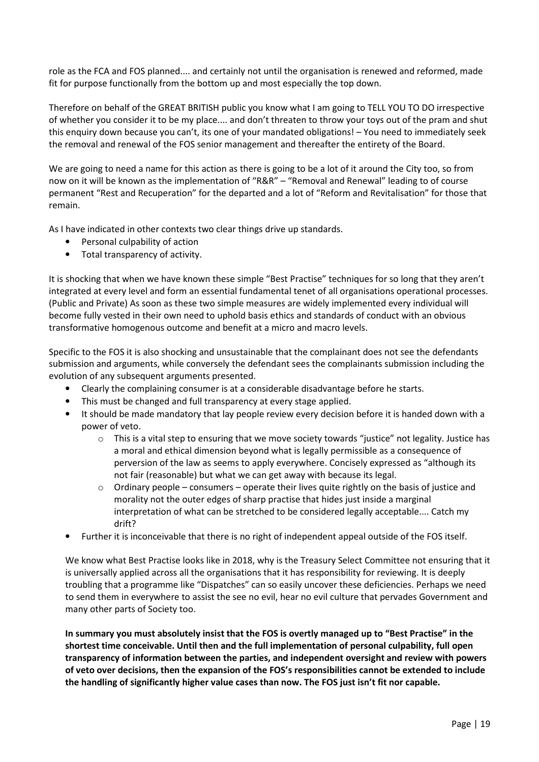role as the FCA and FOS planned.... and certainly not until the organisation is renewed and reformed, made fit for purpose functionally from the bottom up and most especially the top down.

Therefore on behalf of the GREAT BRITISH public you know what I am going to TELL YOU TO DO irrespective of whether you consider it to be my place.... and don't threaten to throw your toys out of the pram and shut this enquiry down because you can't, its one of your mandated obligations! – You need to immediately seek the removal and renewal of the FOS senior management and thereafter the entirety of the Board.

We are going to need a name for this action as there is going to be a lot of it around the City too, so from now on it will be known as the implementation of "R&R" – "Removal and Renewal" leading to of course permanent "Rest and Recuperation" for the departed and a lot of "Reform and Revitalisation" for those that remain.

As I have indicated in other contexts two clear things drive up standards.

- Personal culpability of action
- Total transparency of activity.

It is shocking that when we have known these simple "Best Practise" techniques for so long that they aren't integrated at every level and form an essential fundamental tenet of all organisations operational processes. (Public and Private) As soon as these two simple measures are widely implemented every individual will become fully vested in their own need to uphold basis ethics and standards of conduct with an obvious transformative homogenous outcome and benefit at a micro and macro levels.

Specific to the FOS it is also shocking and unsustainable that the complainant does not see the defendants submission and arguments, while conversely the defendant sees the complainants submission including the evolution of any subsequent arguments presented.

- Clearly the complaining consumer is at a considerable disadvantage before he starts.
- This must be changed and full transparency at every stage applied.
- It should be made mandatory that lay people review every decision before it is handed down with a power of veto.
	- $\circ$  This is a vital step to ensuring that we move society towards "justice" not legality. Justice has a moral and ethical dimension beyond what is legally permissible as a consequence of perversion of the law as seems to apply everywhere. Concisely expressed as "although its not fair (reasonable) but what we can get away with because its legal.
	- $\circ$  Ordinary people consumers operate their lives quite rightly on the basis of justice and morality not the outer edges of sharp practise that hides just inside a marginal interpretation of what can be stretched to be considered legally acceptable.... Catch my drift?
- Further it is inconceivable that there is no right of independent appeal outside of the FOS itself.

We know what Best Practise looks like in 2018, why is the Treasury Select Committee not ensuring that it is universally applied across all the organisations that it has responsibility for reviewing. It is deeply troubling that a programme like "Dispatches" can so easily uncover these deficiencies. Perhaps we need to send them in everywhere to assist the see no evil, hear no evil culture that pervades Government and many other parts of Society too.

In summary you must absolutely insist that the FOS is overtly managed up to "Best Practise" in the shortest time conceivable. Until then and the full implementation of personal culpability, full open transparency of information between the parties, and independent oversight and review with powers of veto over decisions, then the expansion of the FOS's responsibilities cannot be extended to include the handling of significantly higher value cases than now. The FOS just isn't fit nor capable.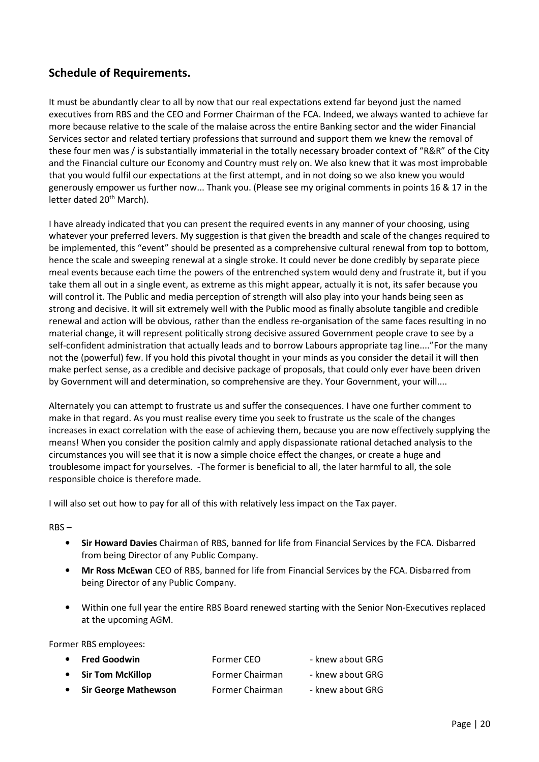### Schedule of Requirements.

It must be abundantly clear to all by now that our real expectations extend far beyond just the named executives from RBS and the CEO and Former Chairman of the FCA. Indeed, we always wanted to achieve far more because relative to the scale of the malaise across the entire Banking sector and the wider Financial Services sector and related tertiary professions that surround and support them we knew the removal of these four men was / is substantially immaterial in the totally necessary broader context of "R&R" of the City and the Financial culture our Economy and Country must rely on. We also knew that it was most improbable that you would fulfil our expectations at the first attempt, and in not doing so we also knew you would generously empower us further now... Thank you. (Please see my original comments in points 16 & 17 in the letter dated 20<sup>th</sup> March).

I have already indicated that you can present the required events in any manner of your choosing, using whatever your preferred levers. My suggestion is that given the breadth and scale of the changes required to be implemented, this "event" should be presented as a comprehensive cultural renewal from top to bottom, hence the scale and sweeping renewal at a single stroke. It could never be done credibly by separate piece meal events because each time the powers of the entrenched system would deny and frustrate it, but if you take them all out in a single event, as extreme as this might appear, actually it is not, its safer because you will control it. The Public and media perception of strength will also play into your hands being seen as strong and decisive. It will sit extremely well with the Public mood as finally absolute tangible and credible renewal and action will be obvious, rather than the endless re-organisation of the same faces resulting in no material change, it will represent politically strong decisive assured Government people crave to see by a self-confident administration that actually leads and to borrow Labours appropriate tag line...."For the many not the (powerful) few. If you hold this pivotal thought in your minds as you consider the detail it will then make perfect sense, as a credible and decisive package of proposals, that could only ever have been driven by Government will and determination, so comprehensive are they. Your Government, your will....

Alternately you can attempt to frustrate us and suffer the consequences. I have one further comment to make in that regard. As you must realise every time you seek to frustrate us the scale of the changes increases in exact correlation with the ease of achieving them, because you are now effectively supplying the means! When you consider the position calmly and apply dispassionate rational detached analysis to the circumstances you will see that it is now a simple choice effect the changes, or create a huge and troublesome impact for yourselves. -The former is beneficial to all, the later harmful to all, the sole responsible choice is therefore made.

I will also set out how to pay for all of this with relatively less impact on the Tax payer.

RBS –

- Sir Howard Davies Chairman of RBS, banned for life from Financial Services by the FCA. Disbarred from being Director of any Public Company.
- Mr Ross McEwan CEO of RBS, banned for life from Financial Services by the FCA. Disbarred from being Director of any Public Company.
- Within one full year the entire RBS Board renewed starting with the Senior Non-Executives replaced at the upcoming AGM.

Former RBS employees:

| • Fred Goodwin         | Former CEO      | - knew about GRG |
|------------------------|-----------------|------------------|
| • Sir Tom McKillop     | Former Chairman | - knew about GRG |
| • Sir George Mathewson | Former Chairman | - knew about GRG |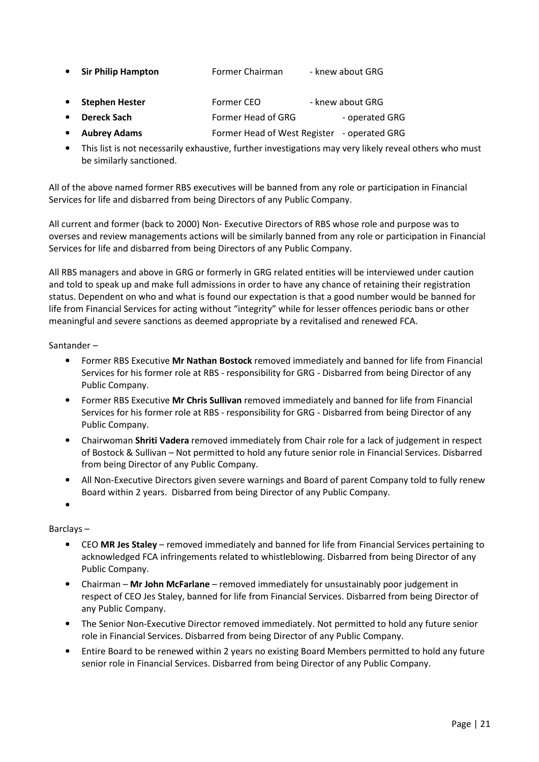- Sir Philip Hampton Former Chairman knew about GRG
- Stephen Hester Former CEO knew about GRG
- **Dereck Sach Former Head of GRG** operated GRG
- Aubrey Adams Former Head of West Register operated GRG
- This list is not necessarily exhaustive, further investigations may very likely reveal others who must be similarly sanctioned.

All of the above named former RBS executives will be banned from any role or participation in Financial Services for life and disbarred from being Directors of any Public Company.

All current and former (back to 2000) Non- Executive Directors of RBS whose role and purpose was to overses and review managements actions will be similarly banned from any role or participation in Financial Services for life and disbarred from being Directors of any Public Company.

All RBS managers and above in GRG or formerly in GRG related entities will be interviewed under caution and told to speak up and make full admissions in order to have any chance of retaining their registration status. Dependent on who and what is found our expectation is that a good number would be banned for life from Financial Services for acting without "integrity" while for lesser offences periodic bans or other meaningful and severe sanctions as deemed appropriate by a revitalised and renewed FCA.

Santander –

- Former RBS Executive Mr Nathan Bostock removed immediately and banned for life from Financial Services for his former role at RBS - responsibility for GRG - Disbarred from being Director of any Public Company.
- Former RBS Executive Mr Chris Sullivan removed immediately and banned for life from Financial Services for his former role at RBS - responsibility for GRG - Disbarred from being Director of any Public Company.
- Chairwoman Shriti Vadera removed immediately from Chair role for a lack of judgement in respect of Bostock & Sullivan – Not permitted to hold any future senior role in Financial Services. Disbarred from being Director of any Public Company.
- All Non-Executive Directors given severe warnings and Board of parent Company told to fully renew Board within 2 years. Disbarred from being Director of any Public Company.
- •

Barclays –

- CEO MR Jes Staley removed immediately and banned for life from Financial Services pertaining to acknowledged FCA infringements related to whistleblowing. Disbarred from being Director of any Public Company.
- Chairman Mr John McFarlane removed immediately for unsustainably poor judgement in respect of CEO Jes Staley, banned for life from Financial Services. Disbarred from being Director of any Public Company.
- The Senior Non-Executive Director removed immediately. Not permitted to hold any future senior role in Financial Services. Disbarred from being Director of any Public Company.
- Entire Board to be renewed within 2 years no existing Board Members permitted to hold any future senior role in Financial Services. Disbarred from being Director of any Public Company.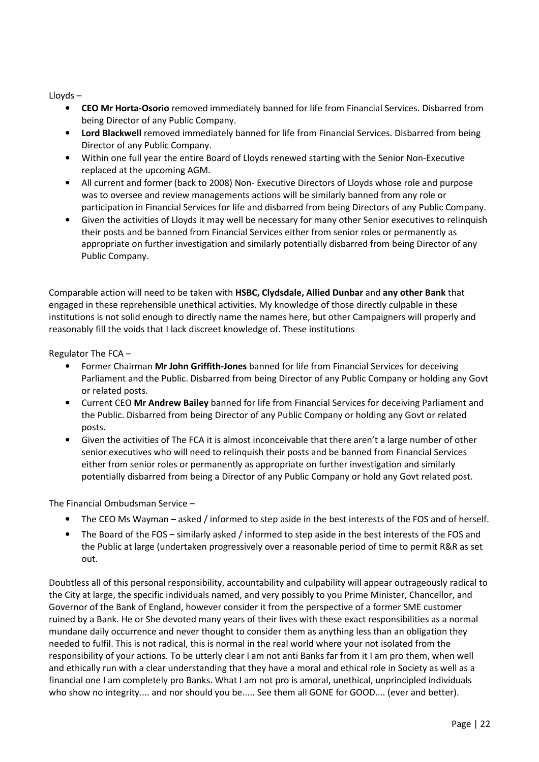Lloyds –

- CEO Mr Horta-Osorio removed immediately banned for life from Financial Services. Disbarred from being Director of any Public Company.
- Lord Blackwell removed immediately banned for life from Financial Services. Disbarred from being Director of any Public Company.
- Within one full year the entire Board of Lloyds renewed starting with the Senior Non-Executive replaced at the upcoming AGM.
- All current and former (back to 2008) Non- Executive Directors of Lloyds whose role and purpose was to oversee and review managements actions will be similarly banned from any role or participation in Financial Services for life and disbarred from being Directors of any Public Company.
- Given the activities of Lloyds it may well be necessary for many other Senior executives to relinquish their posts and be banned from Financial Services either from senior roles or permanently as appropriate on further investigation and similarly potentially disbarred from being Director of any Public Company.

Comparable action will need to be taken with HSBC, Clydsdale, Allied Dunbar and any other Bank that engaged in these reprehensible unethical activities. My knowledge of those directly culpable in these institutions is not solid enough to directly name the names here, but other Campaigners will properly and reasonably fill the voids that I lack discreet knowledge of. These institutions

Regulator The FCA –

- Former Chairman Mr John Griffith-Jones banned for life from Financial Services for deceiving Parliament and the Public. Disbarred from being Director of any Public Company or holding any Govt or related posts.
- Current CEO Mr Andrew Bailey banned for life from Financial Services for deceiving Parliament and the Public. Disbarred from being Director of any Public Company or holding any Govt or related posts.
- Given the activities of The FCA it is almost inconceivable that there aren't a large number of other senior executives who will need to relinquish their posts and be banned from Financial Services either from senior roles or permanently as appropriate on further investigation and similarly potentially disbarred from being a Director of any Public Company or hold any Govt related post.

The Financial Ombudsman Service –

- The CEO Ms Wayman asked / informed to step aside in the best interests of the FOS and of herself.
- The Board of the FOS similarly asked / informed to step aside in the best interests of the FOS and the Public at large (undertaken progressively over a reasonable period of time to permit R&R as set out.

Doubtless all of this personal responsibility, accountability and culpability will appear outrageously radical to the City at large, the specific individuals named, and very possibly to you Prime Minister, Chancellor, and Governor of the Bank of England, however consider it from the perspective of a former SME customer ruined by a Bank. He or She devoted many years of their lives with these exact responsibilities as a normal mundane daily occurrence and never thought to consider them as anything less than an obligation they needed to fulfil. This is not radical, this is normal in the real world where your not isolated from the responsibility of your actions. To be utterly clear I am not anti Banks far from it I am pro them, when well and ethically run with a clear understanding that they have a moral and ethical role in Society as well as a financial one I am completely pro Banks. What I am not pro is amoral, unethical, unprincipled individuals who show no integrity.... and nor should you be..... See them all GONE for GOOD.... (ever and better).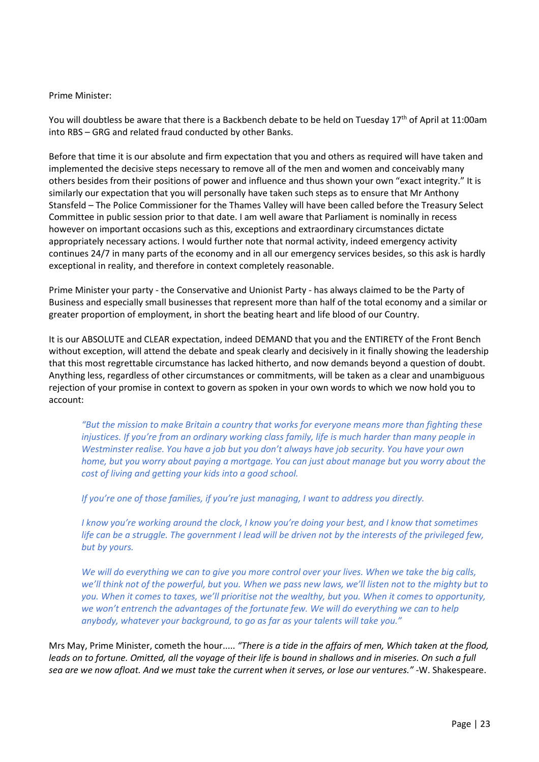#### Prime Minister:

You will doubtless be aware that there is a Backbench debate to be held on Tuesday 17<sup>th</sup> of April at 11:00am into RBS – GRG and related fraud conducted by other Banks.

Before that time it is our absolute and firm expectation that you and others as required will have taken and implemented the decisive steps necessary to remove all of the men and women and conceivably many others besides from their positions of power and influence and thus shown your own "exact integrity." It is similarly our expectation that you will personally have taken such steps as to ensure that Mr Anthony Stansfeld – The Police Commissioner for the Thames Valley will have been called before the Treasury Select Committee in public session prior to that date. I am well aware that Parliament is nominally in recess however on important occasions such as this, exceptions and extraordinary circumstances dictate appropriately necessary actions. I would further note that normal activity, indeed emergency activity continues 24/7 in many parts of the economy and in all our emergency services besides, so this ask is hardly exceptional in reality, and therefore in context completely reasonable.

Prime Minister your party - the Conservative and Unionist Party - has always claimed to be the Party of Business and especially small businesses that represent more than half of the total economy and a similar or greater proportion of employment, in short the beating heart and life blood of our Country.

It is our ABSOLUTE and CLEAR expectation, indeed DEMAND that you and the ENTIRETY of the Front Bench without exception, will attend the debate and speak clearly and decisively in it finally showing the leadership that this most regrettable circumstance has lacked hitherto, and now demands beyond a question of doubt. Anything less, regardless of other circumstances or commitments, will be taken as a clear and unambiguous rejection of your promise in context to govern as spoken in your own words to which we now hold you to account:

"But the mission to make Britain a country that works for everyone means more than fighting these injustices. If you're from an ordinary working class family, life is much harder than many people in Westminster realise. You have a job but you don't always have job security. You have your own home, but you worry about paying a mortgage. You can just about manage but you worry about the cost of living and getting your kids into a good school.

If you're one of those families, if you're just managing, I want to address you directly.

I know you're working around the clock, I know you're doing your best, and I know that sometimes life can be a struggle. The government I lead will be driven not by the interests of the privileged few, but by yours.

We will do everything we can to give you more control over your lives. When we take the big calls, we'll think not of the powerful, but you. When we pass new laws, we'll listen not to the mighty but to you. When it comes to taxes, we'll prioritise not the wealthy, but you. When it comes to opportunity, we won't entrench the advantages of the fortunate few. We will do everything we can to help anybody, whatever your background, to go as far as your talents will take you."

Mrs May, Prime Minister, cometh the hour..... "There is a tide in the affairs of men, Which taken at the flood, leads on to fortune. Omitted, all the voyage of their life is bound in shallows and in miseries. On such a full sea are we now afloat. And we must take the current when it serves, or lose our ventures." -W. Shakespeare.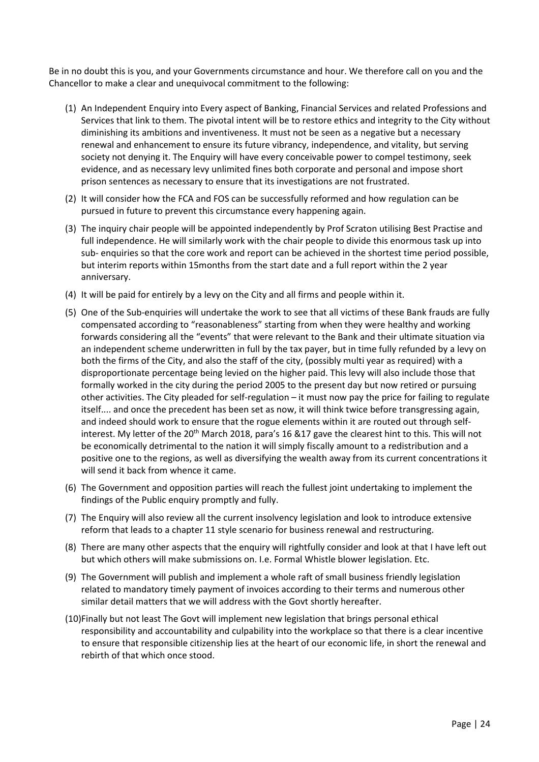Be in no doubt this is you, and your Governments circumstance and hour. We therefore call on you and the Chancellor to make a clear and unequivocal commitment to the following:

- (1) An Independent Enquiry into Every aspect of Banking, Financial Services and related Professions and Services that link to them. The pivotal intent will be to restore ethics and integrity to the City without diminishing its ambitions and inventiveness. It must not be seen as a negative but a necessary renewal and enhancement to ensure its future vibrancy, independence, and vitality, but serving society not denying it. The Enquiry will have every conceivable power to compel testimony, seek evidence, and as necessary levy unlimited fines both corporate and personal and impose short prison sentences as necessary to ensure that its investigations are not frustrated.
- (2) It will consider how the FCA and FOS can be successfully reformed and how regulation can be pursued in future to prevent this circumstance every happening again.
- (3) The inquiry chair people will be appointed independently by Prof Scraton utilising Best Practise and full independence. He will similarly work with the chair people to divide this enormous task up into sub- enquiries so that the core work and report can be achieved in the shortest time period possible, but interim reports within 15months from the start date and a full report within the 2 year anniversary.
- (4) It will be paid for entirely by a levy on the City and all firms and people within it.
- (5) One of the Sub-enquiries will undertake the work to see that all victims of these Bank frauds are fully compensated according to "reasonableness" starting from when they were healthy and working forwards considering all the "events" that were relevant to the Bank and their ultimate situation via an independent scheme underwritten in full by the tax payer, but in time fully refunded by a levy on both the firms of the City, and also the staff of the city, (possibly multi year as required) with a disproportionate percentage being levied on the higher paid. This levy will also include those that formally worked in the city during the period 2005 to the present day but now retired or pursuing other activities. The City pleaded for self-regulation – it must now pay the price for failing to regulate itself.... and once the precedent has been set as now, it will think twice before transgressing again, and indeed should work to ensure that the rogue elements within it are routed out through selfinterest. My letter of the 20<sup>th</sup> March 2018, para's 16 &17 gave the clearest hint to this. This will not be economically detrimental to the nation it will simply fiscally amount to a redistribution and a positive one to the regions, as well as diversifying the wealth away from its current concentrations it will send it back from whence it came.
- (6) The Government and opposition parties will reach the fullest joint undertaking to implement the findings of the Public enquiry promptly and fully.
- (7) The Enquiry will also review all the current insolvency legislation and look to introduce extensive reform that leads to a chapter 11 style scenario for business renewal and restructuring.
- (8) There are many other aspects that the enquiry will rightfully consider and look at that I have left out but which others will make submissions on. I.e. Formal Whistle blower legislation. Etc.
- (9) The Government will publish and implement a whole raft of small business friendly legislation related to mandatory timely payment of invoices according to their terms and numerous other similar detail matters that we will address with the Govt shortly hereafter.
- (10)Finally but not least The Govt will implement new legislation that brings personal ethical responsibility and accountability and culpability into the workplace so that there is a clear incentive to ensure that responsible citizenship lies at the heart of our economic life, in short the renewal and rebirth of that which once stood.